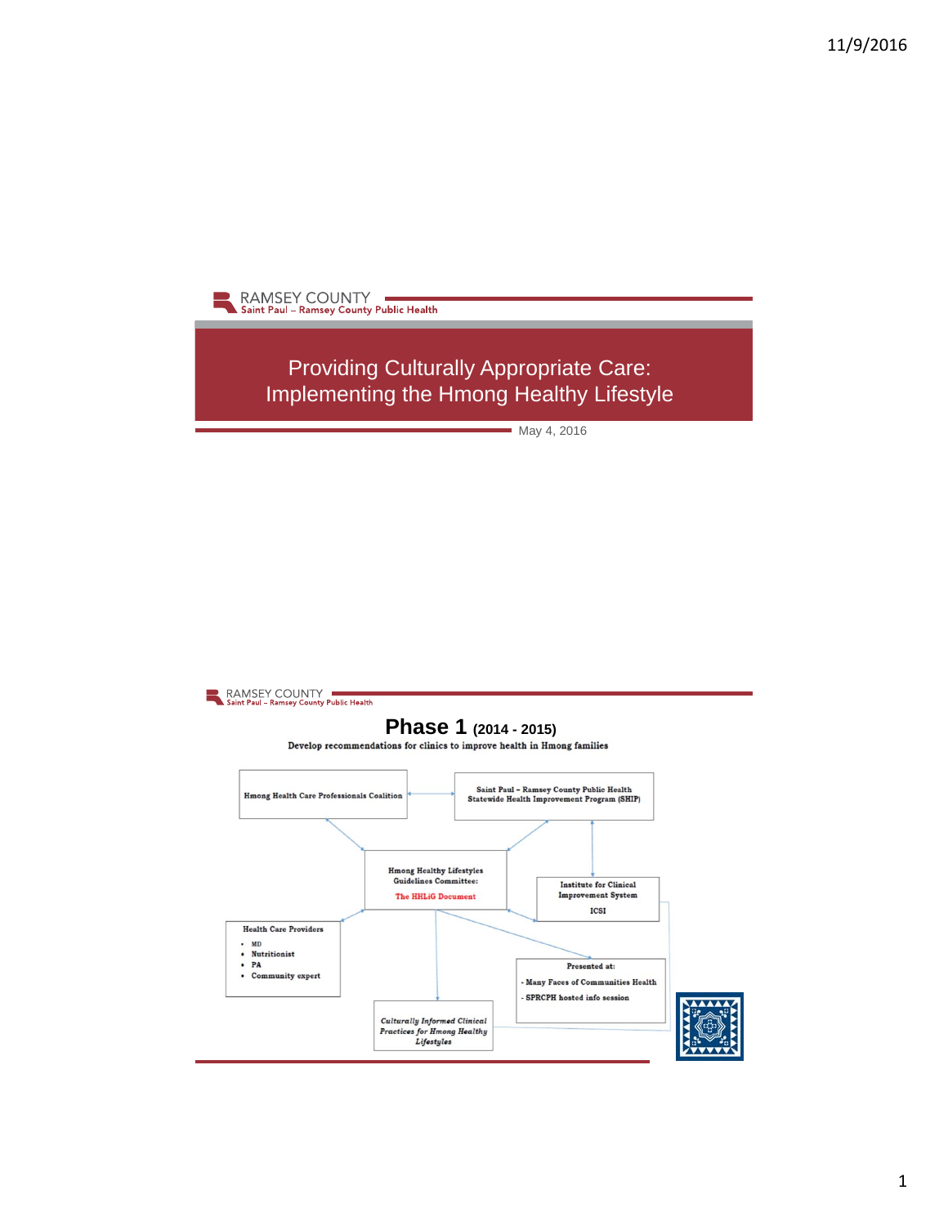

Providing Culturally Appropriate Care: Implementing the Hmong Healthy Lifestyle

May 4, 2016

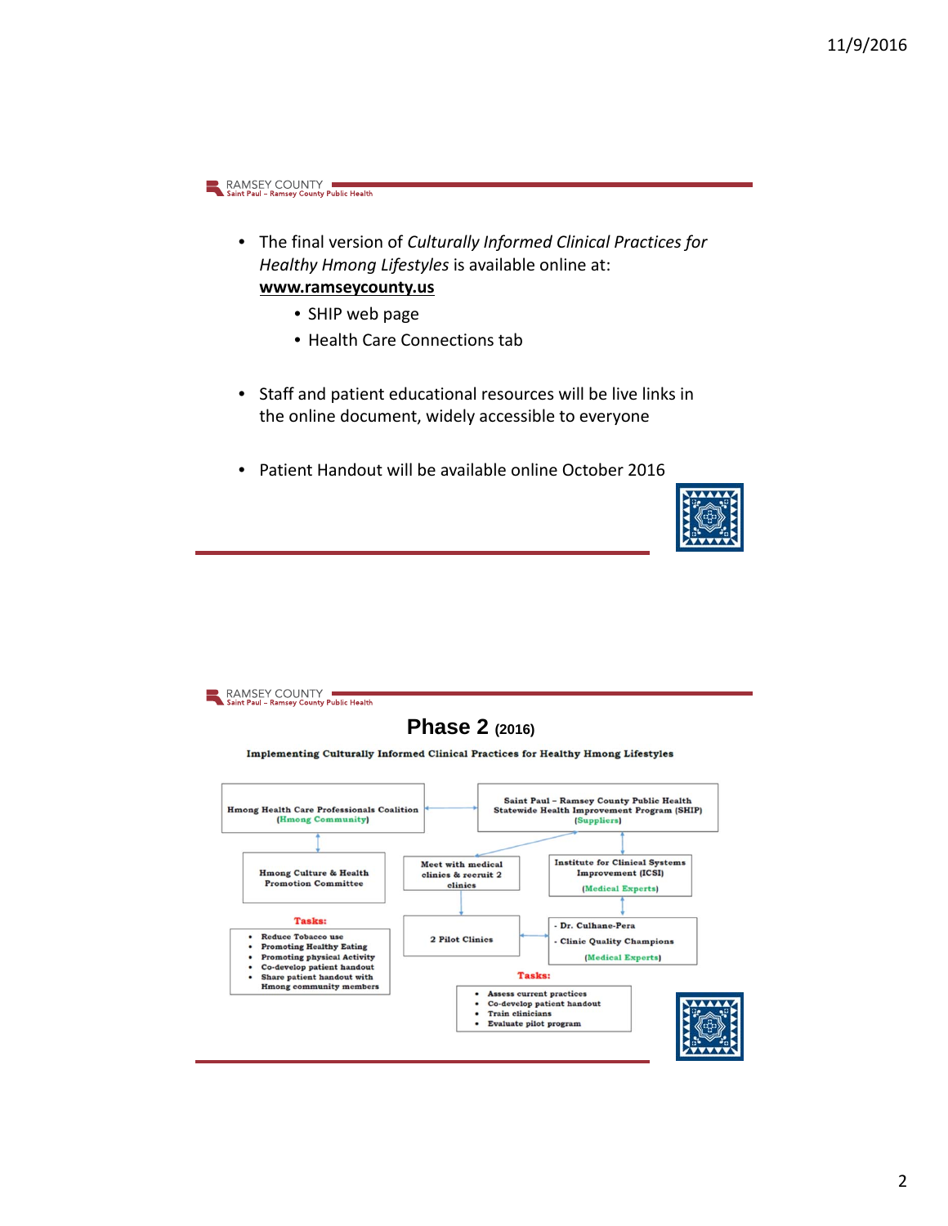- The final version of *Culturally Informed Clinical Practices for Healthy Hmong Lifestyles* is available online at: **www.ramseycounty.us**
	- SHIP web page
	- Health Care Connections tab
- Staff and patient educational resources will be live links in the online document, widely accessible to everyone
- Patient Handout will be available online October 2016



4

#### RAMSEY COUNTY **Phase 2 (2016)**Implementing Culturally Informed Clinical Practices for Healthy Hmong Lifestyles Saint Paul - Ramsey County Public Health **Hmong Health Care Professionals Coalition** Statewide Health Improvement Program (SHIP) (Hmong Community) (Suppliers) **Institute for Clinical Systems**<br>Improvement (ICSI) Meet with medical Hmong Culture & Health clinics & recruit 2 Promotion Committee clinics (Medical Experts) **Tasks:** Dr. Culhane-Pera Reduce Tobacco use 2 Pilot Clinics Clinic Quality Champions • Promoting Healthy Eating Promoting physical Activity (Medical Experts) Co-develop patient handout<br>Share patient handout with<br>Hmong community members **Tasks:**  $\bullet$ Assess current practices Co-develop patient handout Train clinicians Evaluate pilot program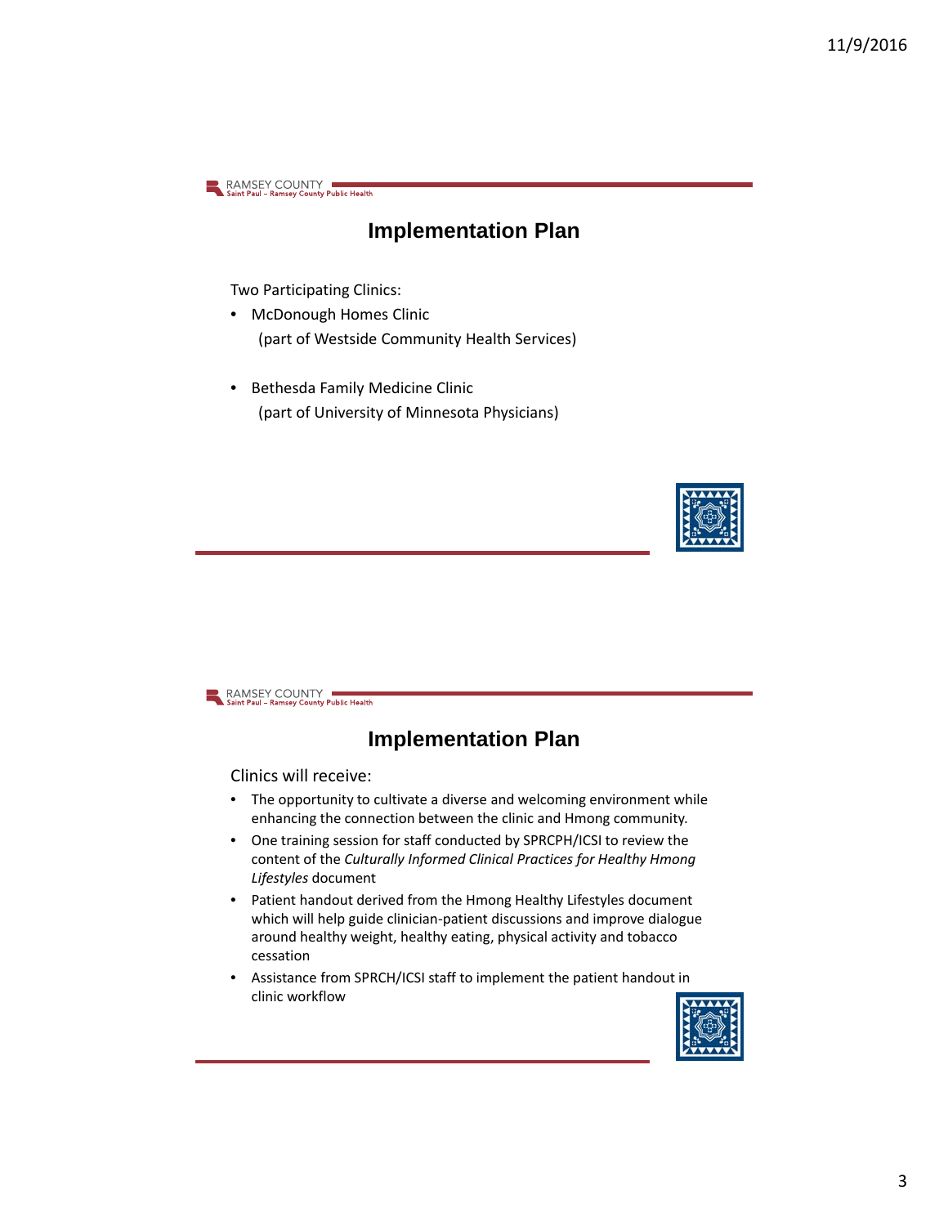### **Implementation Plan**

Two Participating Clinics:

- McDonough Homes Clinic (part of Westside Community Health Services)
- Bethesda Family Medicine Clinic (part of University of Minnesota Physicians)



RAMSEY COUNTY

### **Implementation Plan**

Clinics will receive:

- The opportunity to cultivate a diverse and welcoming environment while enhancing the connection between the clinic and Hmong community.
- One training session for staff conducted by SPRCPH/ICSI to review the content of the *Culturally Informed Clinical Practices for Healthy Hmong Lifestyles* document
- Patient handout derived from the Hmong Healthy Lifestyles document which will help guide clinician-patient discussions and improve dialogue around healthy weight, healthy eating, physical activity and tobacco cessation
- Assistance from SPRCH/ICSI staff to implement the patient handout in clinic workflow

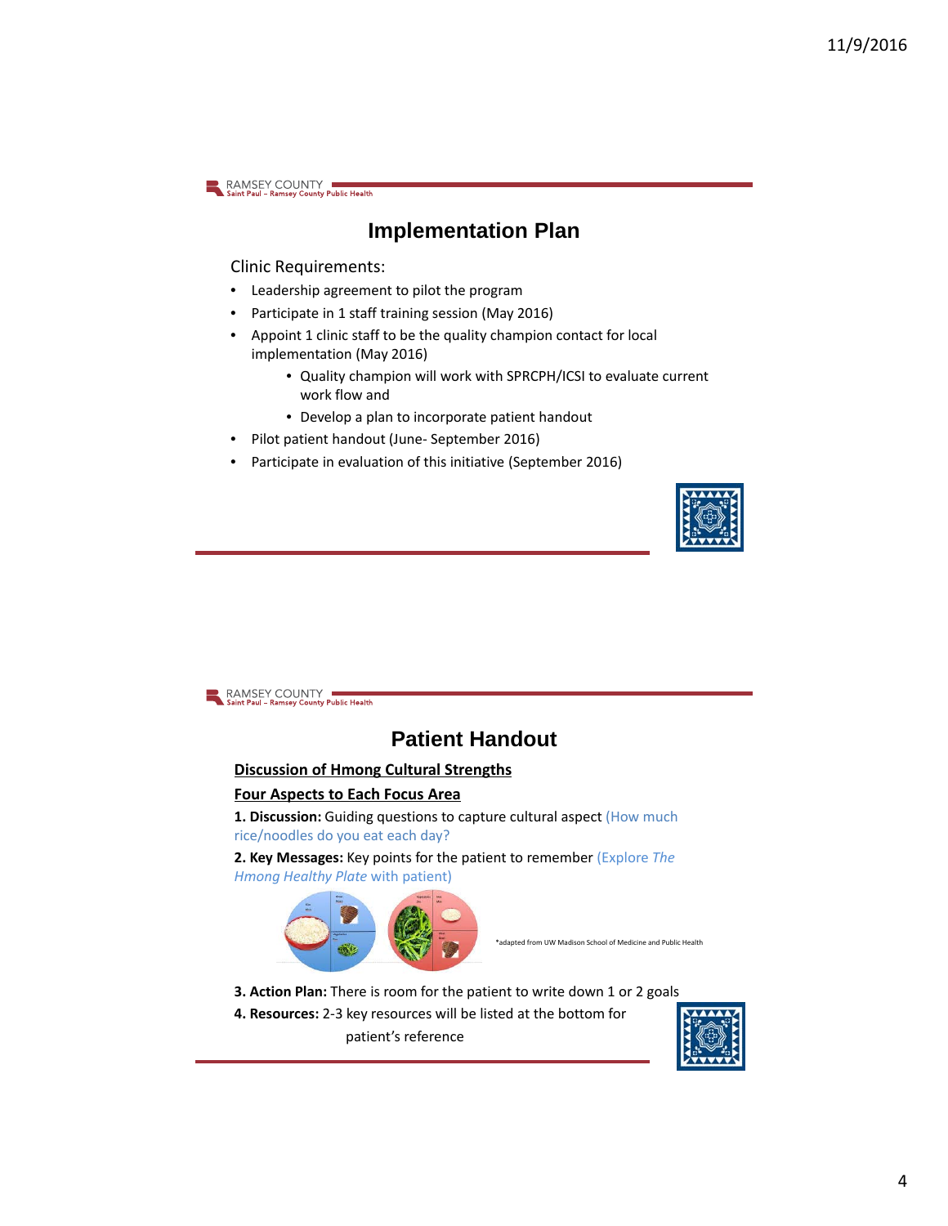### **Implementation Plan**

Clinic Requirements:

- Leadership agreement to pilot the program
- Participate in 1 staff training session (May 2016)
- Appoint 1 clinic staff to be the quality champion contact for local implementation (May 2016)
	- Quality champion will work with SPRCPH/ICSI to evaluate current work flow and
	- Develop a plan to incorporate patient handout
- Pilot patient handout (June‐ September 2016)
- Participate in evaluation of this initiative (September 2016)



RAMSEY COUNTY

# **Patient Handout**

### **Discussion of Hmong Cultural Strengths**

#### **Four Aspects to Each Focus Area**

**1. Discussion:** Guiding questions to capture cultural aspect (How much rice/noodles do you eat each day?

**2. Key Messages:** Key points for the patient to remember (Explore *The Hmong Healthy Plate* with patient)



• \*adapted from UW Madison School of Medicine and Public Health

- **3. Action Plan:** There is room for the patient to write down 1 or 2 goals
- **4. Resources:** 2‐3 key resources will be listed at the bottom for patient's reference

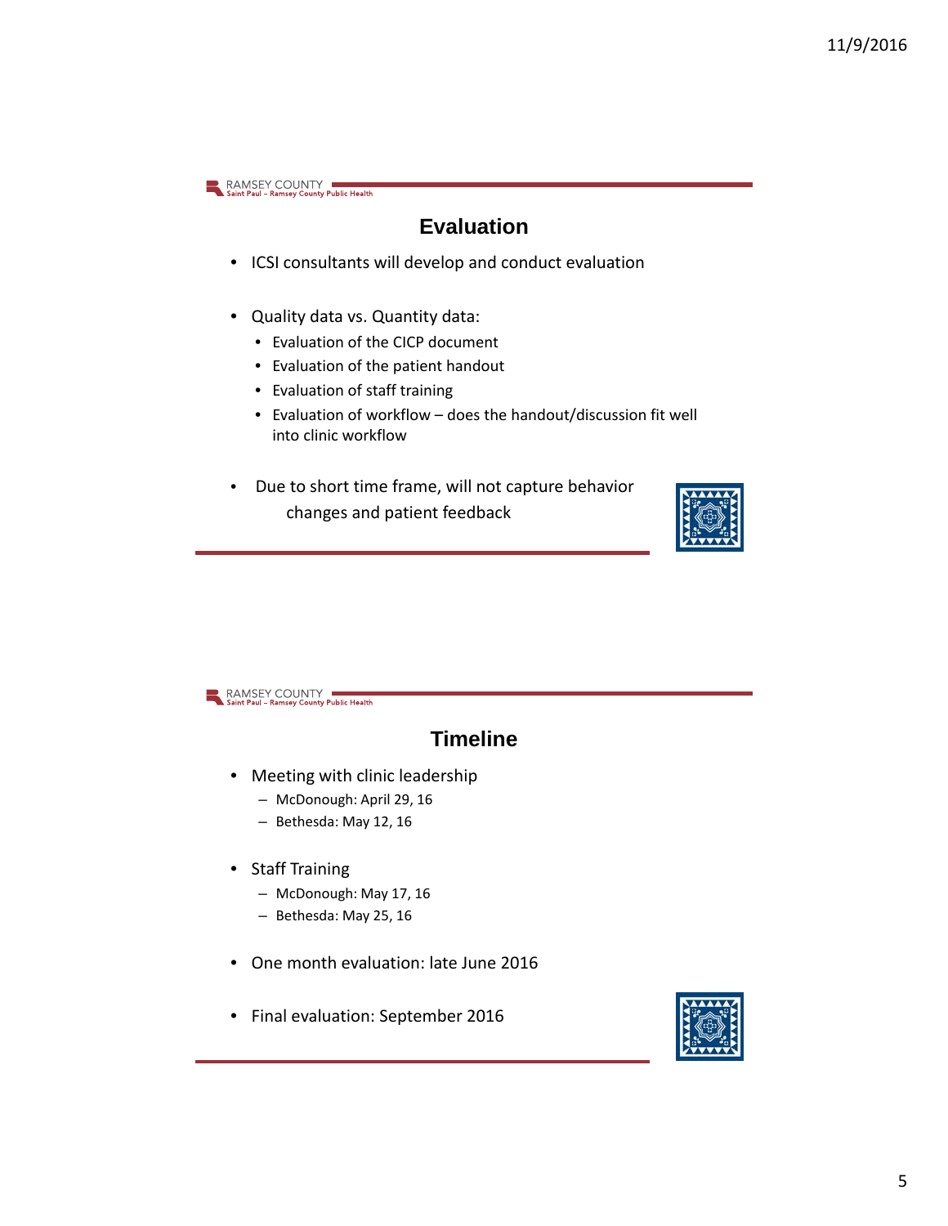## **Evaluation**

- ICSI consultants will develop and conduct evaluation
- Quality data vs. Quantity data:
	- Evaluation of the CICP document
	- Evaluation of the patient handout
	- Evaluation of staff training
	- Evaluation of workflow does the handout/discussion fit well into clinic workflow
- Due to short time frame, will not capture behavior changes and patient feedback



RAMSEY COUNTY

### **Timeline**

- Meeting with clinic leadership
	- McDonough: April 29, 16
	- Bethesda: May 12, 16
- Staff Training
	- McDonough: May 17, 16
	- Bethesda: May 25, 16
- One month evaluation: late June 2016
- Final evaluation: September 2016